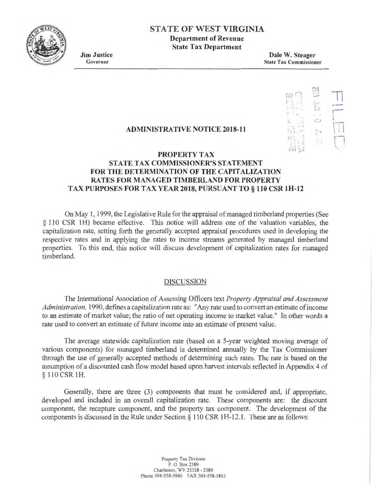

# **STATE OF WEST VIRGINIA**

**Department of Revenue State Tax Department** 

**Jim Justice**  Governor

**Dale W. Steager**  State Tax Commissioner

> $\mathbb{R}^2$ ~ ..... . -<br>11

11

**r---** I  $\mathbf t$  $1 - 1$ ! i I  $\Box$ 

 $\bigcirc$ 

 $\frac{1}{2}$ 

• 1

• I •

# **ADMINISTRATIVE NOTICE 2018-11**

### **PROPERTY TAX STATE TAX COMMISSIONER'S STATEMENT FOR THE DETERMINATION OF THE CAPITALIZATION RA TES FOR MANAGED TIMBERLAND FOR PROPERTY**   $17 - 2.5$ **TAX PURPOSES FOR TAX YEAR 2018, PURSUANT TO§ 110 CSR lH-12**

On May I, I 999, the Legislative Rule for the appraisal of managed timberland properties (See § 110 CSR 1H) became effective. This notice will address one of the valuation variables, the capitalization rate, setting forth the generally accepted appraisal procedures used in developing the respective rates and in applying the rates to income streams generated by managed timberland properties. To this end, this notice will discuss development of capitalization rates for managed timberland.

### DISCUSSION

The International Association of Assessing Officers text *Property Appraisal and Assessment Administration,* 1990, defmes a capitalization rate as: "Any rate used to convert an estimate ofincome to an estimate of market value; the ratio of net operating income to market value." In other words a rate used to convert an estimate of future income into an estimate of present value.

The average statewide capitalization rate (based on a 5-year weighted moving average of various components) for managed timberland is detennined annually by the Tax Commissioner through the use of generally accepted methods of detennining such rates. The rate is based on the assumption of a discounted cash flow model based upon harvest intervals reflected in Appendix 4 of § 110 CSR IH.

Generally, there are three (3) components that must be considered and, if appropriate, developed and included in an overall capitalization rate. These components are: the discount component, the recapture component, and the property tax component. The development of the components is discussed in the Rule under Section  $\S$  110 CSR 1H-12.1. These are as follows:

> Property Tax Division P. O. Box 2389 Charleston, WV 25328 - 2389 Phone 304-558-3940 FAX 304-558-1843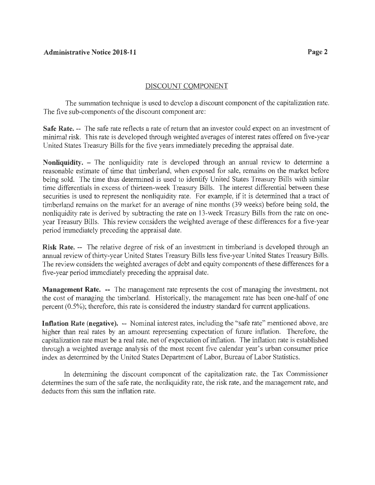# DISCOUNT COMPONENT

The summation technique is used to develop a discount component of the capitalization rate. The five sub-components of the discount component are:

**Safe Rate.** -- The safe rate reflects a rate of return that an investor could expect on an investment of minimal risk. This rate is developed through weighted averages of interest rates offered on five-year United States Treasury Bills for the five years immediately preceding the appraisal date.

**Nonliquidity.** – The nonliquidity rate is developed through an annual review to determine a reasonable estimate of time that timberland, when exposed for sale, remains on the market before being sold. The time thus determined is used to identify United States Treasury Bills with similar time differentials in excess of thirteen-week Treasury Bills. The interest differential between these securities is used to represent the nonliquidity rate. For example, if it is determined that a tract of timberland remains on the market for an average of nine months (39 weeks) before being sold, the nonliquidity rate is derived by subtracting the rate on 13-week Treasury Bills from the rate on oneyear Treasury Bills. This review considers the weighted average of these differences for a five-year period immediately preceding the appraisal date.

**Risk Rate.** -- The relative degree of risk of an investment in timberland is developed through an annual review of thirty-year United States Treasury Bills less five-year United States Treasury Bills. The review considers the weighted averages of debt and equity components of these differences for a five-year period immediately preceding the appraisal date.

**Management Rate.** -- The management rate represents the cost of managing the investment, not the cost of managing the timberland. Historically, the management rate has been one-half of one percent (0.5%); therefore, this rate is considered the industry standard for current applications.

**Inflation Rate (negative).** -- Nominal interest rates, including the "safe rate" mentioned above, are higher than real rates by an amount representing expectation of future inflation. Therefore, the capitalization rate must be a real rate, net of expectation of inflation. The inflation rate is established through a weighted average analysis of the most recent five calendar year's urban consumer price index as determined by the United States Department of Labor, Bureau of Labor Statistics.

In determining the discount component of the capitalization rate, the Tax Commissioner determines the sum of the safe rate, the nonliquidity rate, the risk rate, and the management rate, and deducts from this sum the inflation rate.